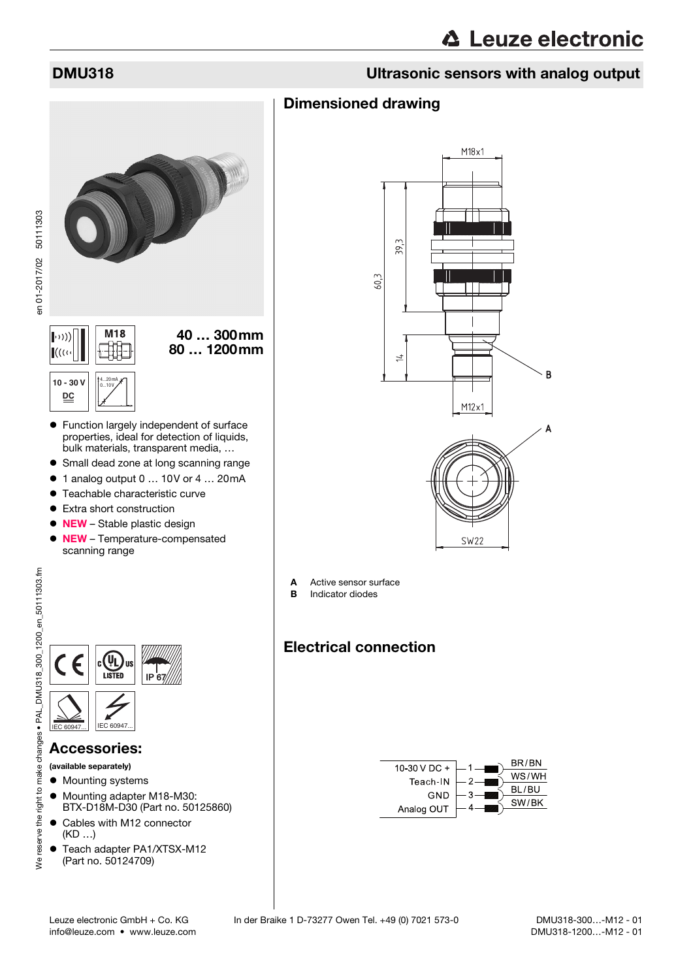# **∆ Leuze electronic**

## DMU318 Ultrasonic sensors with analog output

### Dimensioned drawing



- Function largely independent of surface properties, ideal for detection of liquids, bulk materials, transparent media, …
- Small dead zone at long scanning range
- 1 analog output 0 ... 10V or 4 ... 20mA
- Teachable characteristic curve
- Extra short construction
- NEW Stable plastic design • NEW – Temperature-compensated scanning range



### Accessories:

(available separately)

- $\bullet$  Mounting systems
- $\bullet$  Mounting adapter M18-M30: BTX-D18M-D30 (Part no. 50125860)
- Cables with M12 connector (KD …)
- Teach adapter PA1/XTSX-M12 (Part no. 50124709)



- A Active sensor surface
- **B** Indicator diodes

# Electrical connection

<span id="page-0-0"></span>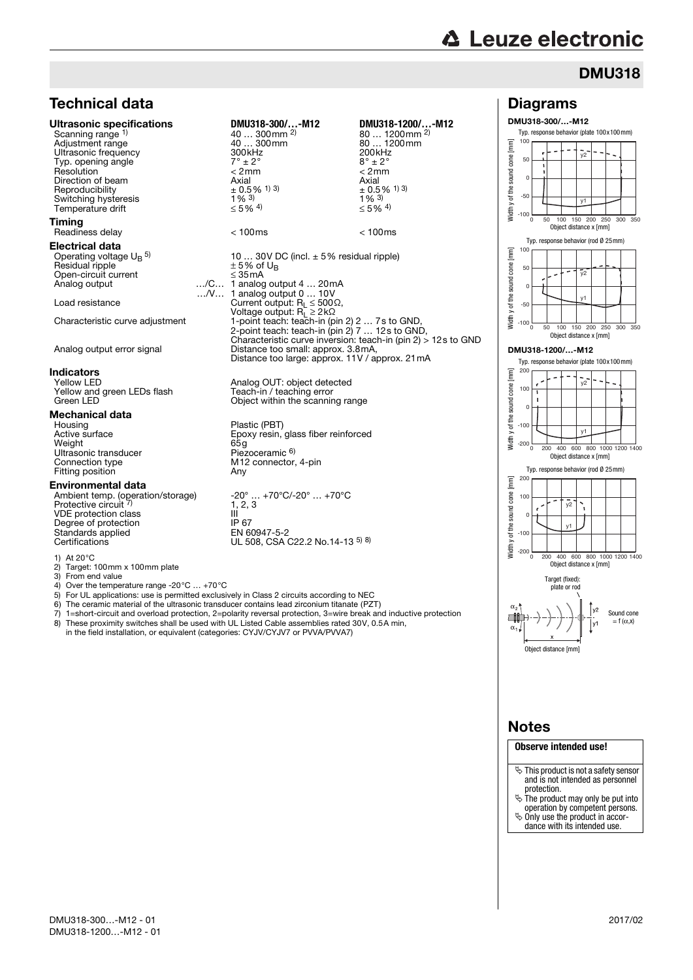# **△ Leuze electronic**

Diagrams DMU318-300/…-M12

> $-100$ -50 0 50  $10<sub>0</sub>$

Ē cone

# DMU318

0 50 100 150 200 250 300 350  $v1$ 

Object distance x [mm]

 $\overline{v}$ 

Typ. response behavior (plate 100x100mm)

### Technical data Ultrasonic specifications **DMU318-300/…-M12 DMU318-1200/…-M12**

Scanning range 1) Reproducibility  $+0.5$ <br>Switching hysteresis  $1\%$ <sup>3)</sup> Switching hysteresis  $\frac{1}{8}$  3)<br>
Temperature drift  $\leq 5\%$  4) Temperature drift **Timing** 

Electrical data Operating voltage U<sub>B</sub> <sup>5)</sup> Residual ripple  $\pm$  5% of U<sub>B</sub> Open-circuit current ≤ 35mA Analog output

# **Indicators**<br>Yellow LED

Yellow and green LEDs flash<br>Green LED

# **Mechanical data**<br>Housing

Housing Plastic (PBT)<br>Active surface Activities of the Plastic (PBT) Weight<br>
Ultrasonic transducer<br>
Elezoceramic 6 Ultrasonic transducer<br>Connection type Fitting position **Any** 

### Environmental data

Ambient temp. (operation/storage) Protective circuit 7) VDE protection class **III** III<br>Degree of protection **III** IP 67 Degree of protection<br>
Standards applied<br>
Standards applied<br>
IP 67 Standards applied<br>Certifications

1) At  $20^{\circ}$ C<br>2) Target

2) Target:  $100 \text{mm} \times 100 \text{mm}$  plate<br>3) From end value

3) From end value

4) Over the temperature range -20°C … +70°C

5) For UL applications: use is permitted exclusively in Class 2 circuits according to NEC

…/V…

6) The ceramic material of the ultrasonic transducer contains lead zirconium titanate (PZT)

7) 1=short-circuit and overload protection, 2=polarity reversal protection, 3=wire break and inductive protection These proximity switches shall be used with UL Listed Cable assemblies rated 30V, 0.5A min,

in the field installation, or equivalent (categories: CYJV/CYJV7 or PVVA/PVVA7)

### 40 ... 300mm <sup>2)</sup><br>40 ... 300mm 80 ... 1200mm <sup>2)</sup><br>80 ... 1200mm Adjustment range  $\begin{array}{ccc}\n\text{Adiagram} & \text{Adiagram} \\
\text{Adiagram} & \text{Adiagram} \\
\text{Bdiagram} & \text{Bdiagram} \\
\text{Bdiagram} & \text{Bdiagram} \\
\text{Adiagram} & \text{Bdiagram} \\
\text{Bdiagram} & \text{Bdiagram} \\
\text{Bdiagram} & \text{Bdiagram} \\
\text{Bdiagram} & \text{Bdiagram} \\
\text{Bdiagram} & \text{Bdiagram} \\
\text{Bdiagram} & \text{Bdiagram} \\
\text{Bdiagram} & \text{Bdiagram} \\
\text{Bdiagram} & \text{Bdiagram} \\
\text{$ Ultrasonic frequency  $300kHz$ <br>
Typ opening angle<br>  $7^\circ + 2^\circ$   $8^\circ + 2^\circ$ Typ. opening angle  $7^\circ \pm 2^\circ$  and  $8^\circ \pm 2^\circ$  and  $8^\circ \pm 2^\circ$  and  $\leq 2$ mm  $\leq 2$ mm  $\leq 2$ mm Resolution < 2mm < 2mm Direction of beam  $\frac{\text{Axial}}{\pm 0.5\%}$  1 3  $\pm 0.5\frac{\text{Axial}}{\pm 0.5\%}$   $\pm 0.5\frac{\text{Axial}}{\text{Axial}}$   $\pm 0.5\frac{\text{Axial}}{\text{Axial}}$   $\pm 0.5\frac{\text{Axial}}{\text{Axial}}$   $\pm 0.5\frac{\text{Axial}}{\text{Axial}}$   $\pm 0.5\frac{\text{Axial}}{\text{Axial}}$   $\pm 0.5\frac{\text{Axial}}{\text{Axial}}$   $\pm 0.5\frac{\text{Axial}}$  $\pm$  0.5% <sup>1) 3)</sup><br>1% <sup>3)</sup>  $≤ 5\%$  <sup>4)</sup> Readiness delay < 100ms < 100ms 10 ... 30V DC (incl.  $\pm$  5% residual ripple)<br> $\pm$  5% of U<sub>B</sub> 1 analog output 4 … 20mA 1 analog output 0 … 10V Load resistance  $\begin{array}{ll} \text{Current output: } \mathsf{R}_{\mathsf{L}} \le 500 \Omega, \ \text{Voltage output: } \mathsf{R}_{\mathsf{L}} \ge 2 \, \mathsf{k} \Omega \ \end{array}$ <br>Characteristic curve adjustment  $\begin{array}{ll} \mathsf{1-point}\ \mathsf{teach:}\ \mathsf{teach-in}\ (\mathsf{pin}\ 2)\ 2\ \ldots\ 7 \ \text{s to}\ \mathsf{GND}, \ \text{Characteristic curve inversion:}\ \mathsf{teach-in}\ (\mathsf{pin}\ 2) > 12 \ \$ Analog output error signal Distance too small: approx. 3.8mA, Distance too large: approx. 11V / approx. 21mA

Analog OUT: object detected<br>Teach-in / teaching error Contain the scanning range

Epoxy resin, glass fiber reinforced<br>65g M12 connector, 4-pin

-20° ... +70°C/-20° ... +70°C<br>1, 2, 3<br>III UL 508, CSA C22.2 No.14-13 5) 8)





### Notes

**Observe intended use!**

- This product is not a safety sensor and is not intended as personnel protection.
- $\ddot{\mathbb{S}}$  The product may only be put into
- operation by competent persons.  $\%$  Only use the product in accor-
- dance with its intended use.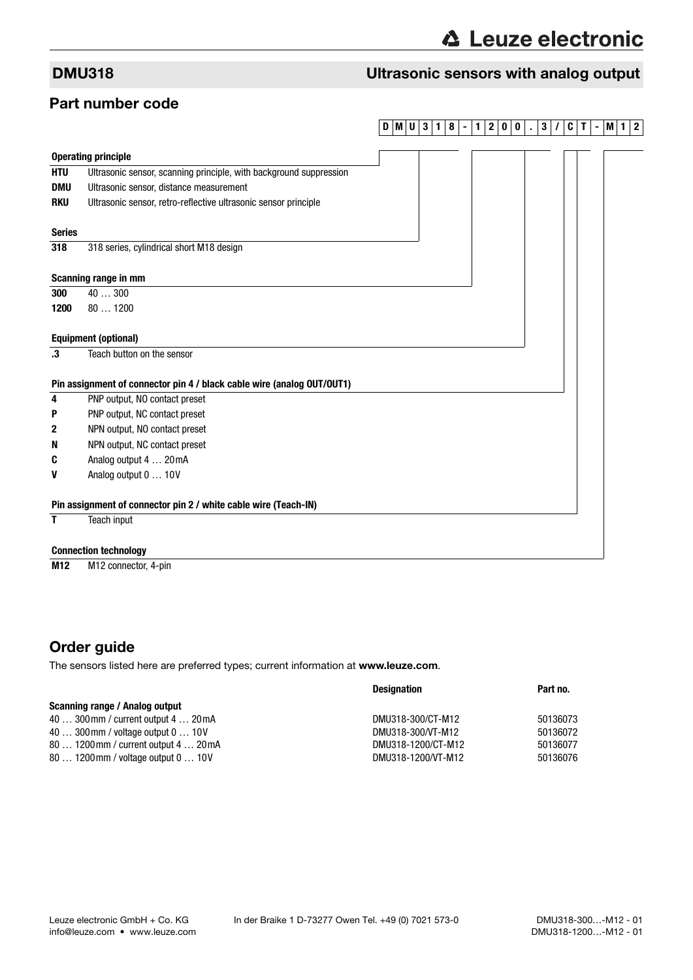# DMU318 Ultrasonic sensors with analog output

### Part number code

### **DMU 3 1 8 - 1 2 0 0 . 3 / C T -M1 2**

|               | <b>Operating principle</b>                                             |  |  |  |
|---------------|------------------------------------------------------------------------|--|--|--|
| <b>HTU</b>    | Ultrasonic sensor, scanning principle, with background suppression     |  |  |  |
| <b>DMU</b>    | Ultrasonic sensor, distance measurement                                |  |  |  |
| <b>RKU</b>    | Ultrasonic sensor, retro-reflective ultrasonic sensor principle        |  |  |  |
| <b>Series</b> |                                                                        |  |  |  |
| 318           | 318 series, cylindrical short M18 design                               |  |  |  |
|               | Scanning range in mm                                                   |  |  |  |
| 300           | 40300                                                                  |  |  |  |
| 1200          | 801200                                                                 |  |  |  |
|               | <b>Equipment (optional)</b>                                            |  |  |  |
| .3            | Teach button on the sensor                                             |  |  |  |
|               | Pin assignment of connector pin 4 / black cable wire (analog OUT/OUT1) |  |  |  |
| 4             | PNP output, NO contact preset                                          |  |  |  |
| P             | PNP output, NC contact preset                                          |  |  |  |
| 2             | NPN output, NO contact preset                                          |  |  |  |
| N             | NPN output, NC contact preset                                          |  |  |  |
| C             | Analog output 4  20 mA                                                 |  |  |  |
| V             | Analog output 0  10V                                                   |  |  |  |
|               | Pin assignment of connector pin 2 / white cable wire (Teach-IN)        |  |  |  |
| Τ             | Teach input                                                            |  |  |  |
|               | <b>Connection technology</b>                                           |  |  |  |
| M12           | M <sub>12</sub> connector, 4-pin                                       |  |  |  |

# Order guide

The sensors listed here are preferred types; current information at www.leuze.com.

|                                       | <b>Designation</b> | Part no. |
|---------------------------------------|--------------------|----------|
| Scanning range / Analog output        |                    |          |
| 40  300 mm / current output 4  20 mA  | DMU318-300/CT-M12  | 50136073 |
| 40  300 mm / voltage output 0  10 V   | DMU318-300/VT-M12  | 50136072 |
| 80  1200 mm / current output 4  20 mA | DMU318-1200/CT-M12 | 50136077 |
| 80  1200 mm / voltage output 0  10 V  | DMU318-1200/VT-M12 | 50136076 |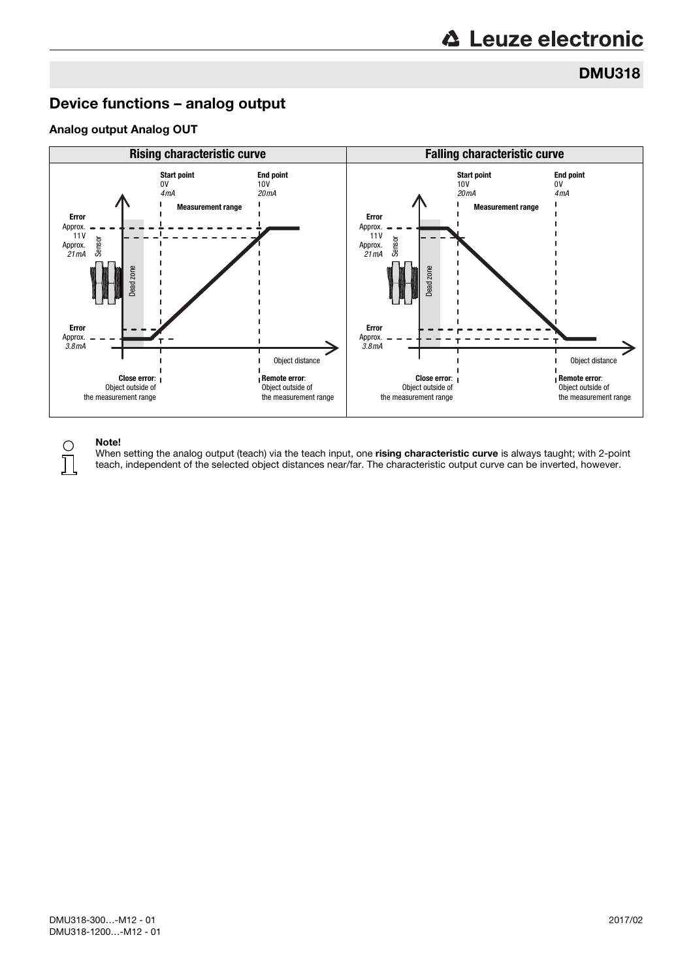### DMU318

## Device functions – analog output

### Analog output Analog OUT



### Note!

 $\bigcap$ Т

When setting the analog output (teach) via the teach input, one rising characteristic curve is always taught; with 2-point teach, independent of the selected object distances near/far. The characteristic output curve can be inverted, however.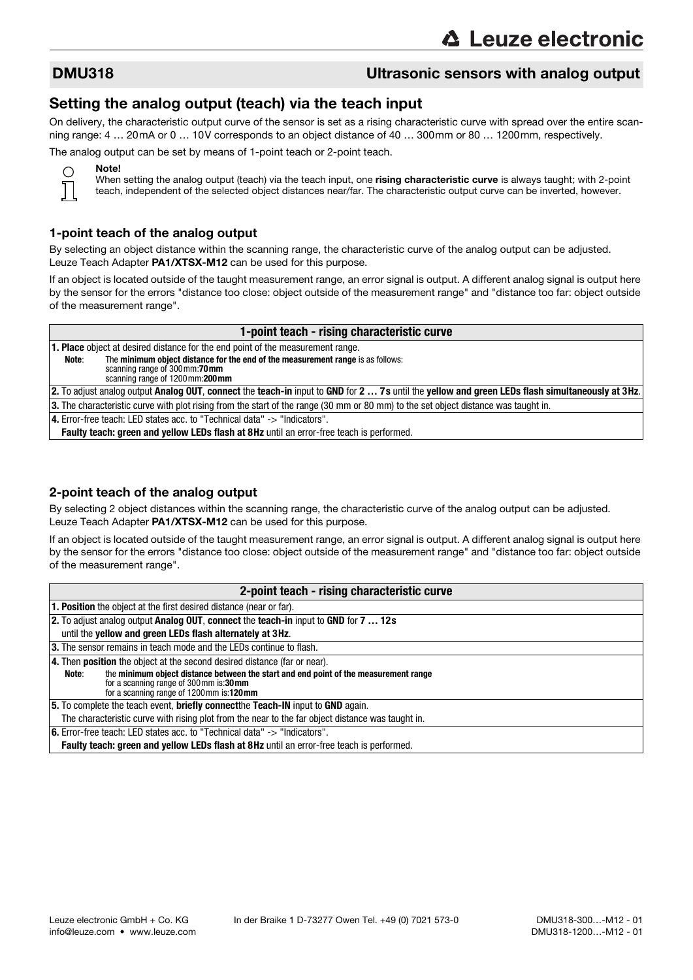### DMU318 Ultrasonic sensors with analog output

### Setting the analog output (teach) via the teach input

On delivery, the characteristic output curve of the sensor is set as a rising characteristic curve with spread over the entire scanning range: 4 … 20mA or 0 … 10V corresponds to an object distance of 40 … 300mm or 80 … 1200mm, respectively.

The analog output can be set by means of 1-point teach or 2-point teach.



Note!

When setting the analog output (teach) via the teach input, one rising characteristic curve is always taught; with 2-point teach, independent of the selected object distances near/far. The characteristic output curve can be inverted, however.

### 1-point teach of the analog output

By selecting an object distance within the scanning range, the characteristic curve of the analog output can be adjusted. Leuze Teach Adapter PA1/XTSX-M12 can be used for this purpose.

If an object is located outside of the taught measurement range, an error signal is output. A different analog signal is output here by the sensor for the errors "distance too close: object outside of the measurement range" and "distance too far: object outside of the measurement range".

| 1-point teach - rising characteristic curve                                                                                         |                                                                                                                                                     |  |  |  |
|-------------------------------------------------------------------------------------------------------------------------------------|-----------------------------------------------------------------------------------------------------------------------------------------------------|--|--|--|
| <b>1. Place</b> object at desired distance for the end point of the measurement range.                                              |                                                                                                                                                     |  |  |  |
| Note:                                                                                                                               | The minimum object distance for the end of the measurement range is as follows:<br>scanning range of 300 mm:70 mm<br>scanning range of 1200mm:200mm |  |  |  |
|                                                                                                                                     | 2. To adjust analog output Analog OUT, connect the teach-in input to GND for 2  7s until the yellow and green LEDs flash simultaneously at 3Hz.     |  |  |  |
| 3. The characteristic curve with plot rising from the start of the range (30 mm or 80 mm) to the set object distance was taught in. |                                                                                                                                                     |  |  |  |
|                                                                                                                                     | 4. Error-free teach: LED states acc. to "Technical data" -> "Indicators".                                                                           |  |  |  |
|                                                                                                                                     | <b>Faulty teach: green and yellow LEDs flash at 8Hz until an error-free teach is performed.</b>                                                     |  |  |  |
|                                                                                                                                     |                                                                                                                                                     |  |  |  |
|                                                                                                                                     |                                                                                                                                                     |  |  |  |

### 2-point teach of the analog output

By selecting 2 object distances within the scanning range, the characteristic curve of the analog output can be adjusted. Leuze Teach Adapter PA1/XTSX-M12 can be used for this purpose.

If an object is located outside of the taught measurement range, an error signal is output. A different analog signal is output here by the sensor for the errors "distance too close: object outside of the measurement range" and "distance too far: object outside of the measurement range".

| 2-point teach - rising characteristic curve                                                                                                                                       |  |  |
|-----------------------------------------------------------------------------------------------------------------------------------------------------------------------------------|--|--|
| <b>1. Position</b> the object at the first desired distance (near or far).                                                                                                        |  |  |
| 2. To adjust analog output Analog OUT, connect the teach-in input to GND for 7  12s                                                                                               |  |  |
| until the yellow and green LEDs flash alternately at 3Hz.                                                                                                                         |  |  |
| 3. The sensor remains in teach mode and the LEDs continue to flash.                                                                                                               |  |  |
| 4. Then <b>position</b> the object at the second desired distance (far or near).                                                                                                  |  |  |
| the minimum object distance between the start and end point of the measurement range<br>Note:<br>for a scanning range of 300mm is:30mm<br>for a scanning range of 1200mm is:120mm |  |  |
| 5. To complete the teach event, briefly connectthe Teach-IN input to GND again.                                                                                                   |  |  |
| The characteristic curve with rising plot from the near to the far object distance was taught in.                                                                                 |  |  |
| $ 6$ . Error-free teach: LED states acc. to "Technical data" $\rightarrow$ "Indicators".                                                                                          |  |  |
| <b>Faulty teach: green and yellow LEDs flash at 8Hz until an error-free teach is performed.</b>                                                                                   |  |  |